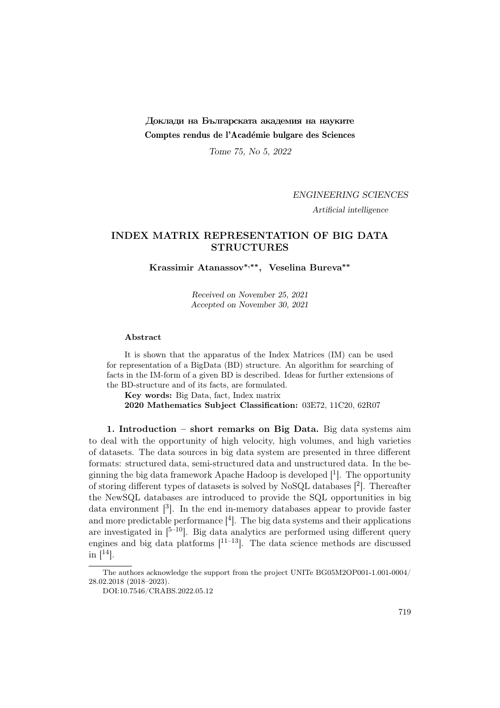# Доклади на Българската академия на науките Comptes rendus de l'Académie bulgare des Sciences

Tome 75, No 5, 2022

### ENGINEERING SCIENCES

Artificial intelligence

# INDEX MATRIX REPRESENTATION OF BIG DATA STRUCTURES

Krassimir Atanassov∗,∗∗, Veselina Bureva∗∗

Received on November 25, 2021 Accepted on November 30, 2021

#### Abstract

It is shown that the apparatus of the Index Matrices (IM) can be used for representation of a BigData (BD) structure. An algorithm for searching of facts in the IM-form of a given BD is described. Ideas for further extensions of the BD-structure and of its facts, are formulated.

Key words: Big Data, fact, Index matrix 2020 Mathematics Subject Classification: 03E72, 11C20, 62R07

1. Introduction – short remarks on Big Data. Big data systems aim to deal with the opportunity of high velocity, high volumes, and high varieties of datasets. The data sources in big data system are presented in three different formats: structured data, semi-structured data and unstructured data. In the beginning the big data framework Apache Hadoop is developed  $\lceil \cdot \rceil$ . The opportunity of storing different types of datasets is solved by NoSQL databases [<sup>2</sup> ]. Thereafter the NewSQL databases are introduced to provide the SQL opportunities in big data environment  $\lceil^3\rceil$ . In the end in-memory databases appear to provide faster and more predictable performance  $[4]$ . The big data systems and their applications are investigated in  $[5-10]$ . Big data analytics are performed using different query engines and big data platforms  $[1^{1-13}]$ . The data science methods are discussed in  $[14]$ .

The authors acknowledge the support from the project UNITe BG05M2OP001-1.001-0004/ 28.02.2018 (2018–2023).

DOI:10.7546/CRABS.2022.05.12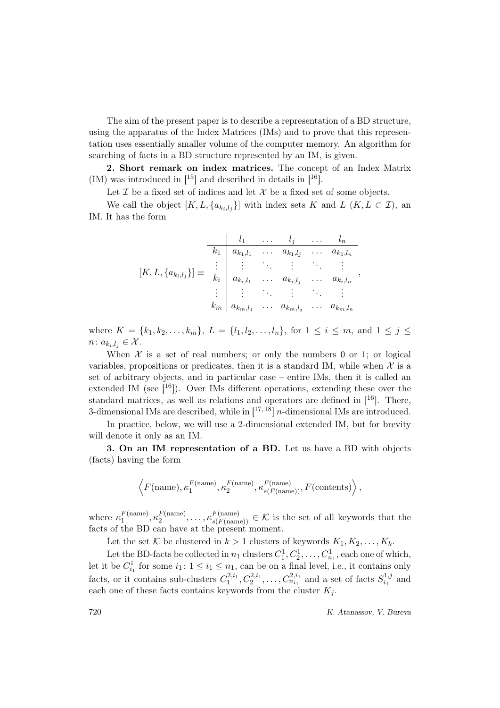The aim of the present paper is to describe a representation of a BD structure, using the apparatus of the Index Matrices (IMs) and to prove that this representation uses essentially smaller volume of the computer memory. An algorithm for searching of facts in a BD structure represented by an IM, is given.

2. Short remark on index matrices. The concept of an Index Matrix (IM) was introduced in  $[15]$  and described in details in  $[16]$ .

Let  $\mathcal I$  be a fixed set of indices and let  $\mathcal X$  be a fixed set of some objects.

We call the object  $[K, L, \{a_{k_i, l_j}\}]$  with index sets K and  $L$   $(K, L \subset \mathcal{I})$ , and IM. It has the form

$$
[K, L, \{a_{k_i, l_j}\}] \equiv \begin{array}{c|cccc} & l_1 & \dots & l_j & \dots & l_n \\ \hline k_1 & a_{k_1, l_1} & \dots & a_{k_1, l_j} & \dots & a_{k_1, l_n} \\ \vdots & \vdots & \ddots & \vdots & \ddots & \vdots \\ a_{k_i, l_1} & \dots & a_{k_i, l_j} & \dots & a_{k_i, l_n} \\ \vdots & \vdots & \vdots & \vdots & \ddots & \vdots \\ a_{k_m, l_1} & \dots & a_{k_m, l_j} & \dots & a_{k_m, l_n} \end{array},
$$

where  $K = \{k_1, k_2, \ldots, k_m\}, L = \{l_1, l_2, \ldots, l_n\},$  for  $1 \le i \le m$ , and  $1 \le j \le n$  $n: a_{k_i,l_j} \in \mathcal{X}$ .

When  $X$  is a set of real numbers; or only the numbers 0 or 1; or logical variables, propositions or predicates, then it is a standard IM, while when  $\mathcal X$  is a set of arbitrary objects, and in particular case – entire IMs, then it is called an extended IM (see  $[16]$ ). Over IMs different operations, extending these over the standard matrices, as well as relations and operators are defined in  $[16]$ . There, 3-dimensional IMs are described, while in  $[17,18]$  *n*-dimensional IMs are introduced.

In practice, below, we will use a 2-dimensional extended IM, but for brevity will denote it only as an IM.

3. On an IM representation of a BD. Let us have a BD with objects (facts) having the form

$$
\left\langle F(\text{name}), \kappa_1^{F(\text{name})}, \kappa_2^{F(\text{name})}, \kappa_{s(F(\text{name}))}^{F(\text{name})}, F(\text{contents}) \right\rangle,
$$

where  $\kappa_1^{F(\text{name})}$  $\binom{F(\text{name})}{1}, \kappa_2^{F(\text{name})}$  $\mathcal{L}^{F(\text{name})}_{2}, \ldots, \mathcal{K}^{F(\text{name})}_{s(F(\text{name}))} \in \mathcal{K}$  is the set of all keywords that the facts of the BD can have at the present moment.

Let the set K be clustered in  $k > 1$  clusters of keywords  $K_1, K_2, \ldots, K_k$ .

Let the BD-facts be collected in  $n_1$  clusters  $C_1^1, C_2^1, \ldots, C_{n_1}^1$ , each one of which, let it be  $C_{i_1}^1$  for some  $i_1: 1 \leq i_1 \leq n_1$ , can be on a final level, i.e., it contains only facts, or it contains sub-clusters  $C_1^{2,i_1}, C_2^{2,i_1}, \ldots, C_{n_{i_1}}^{2,i_1}$  and a set of facts  $S_{i_1}^{1,j}$  $i_1^{1,j}$  and each one of these facts contains keywords from the cluster  $K_i$ .

720 K. Atanassov, V. Bureva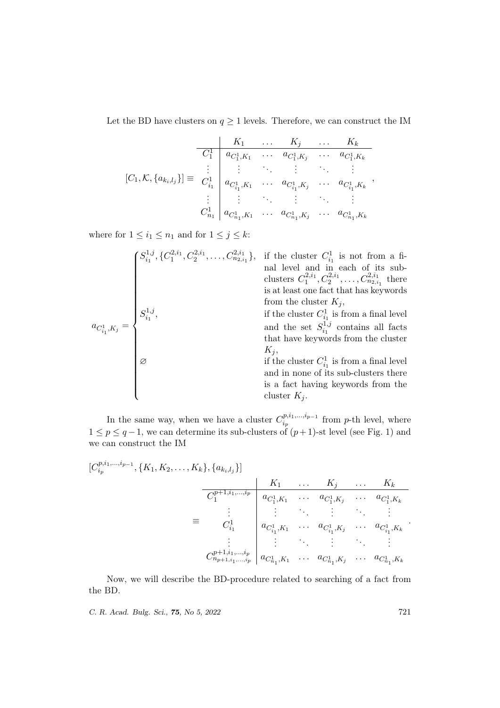Let the BD have clusters on  $q\geq 1$  levels. Therefore, we can construct the IM

$$
[C_1, \mathcal{K}, \{a_{k_i, l_j}\}] \equiv \begin{array}{c|cccc} & K_1 & \dots & K_j & \dots & K_k \\ \hline C_1^1 & a_{C_1^1, K_1} & \dots & a_{C_1^1, K_j} & \dots & a_{C_1^1, K_k} \\ \vdots & \vdots & \ddots & \vdots & \ddots & \vdots \\ a_{C_{i_1}^1} & a_{C_{i_1}^1, K_1} & \dots & a_{C_{i_1}^1, K_j} & \dots & a_{C_{i_1}^1, K_k} \\ \vdots & \vdots & \ddots & \vdots & \ddots & \vdots \\ a_{C_{n_1}^1, K_1} & \dots & a_{C_{n_1}^1, K_j} & \dots & a_{C_{n_1}^1, K_k} \end{array},
$$

where for  $1 \leq i_1 \leq n_1$  and for  $1 \leq j \leq k$ :

$$
a_{C_{i_1}^1, K_j} = \begin{cases} S_{i_1}^{1,j}, \{C_1^{2,i_1}, C_2^{2,i_1}, \dots, C_{n_{2,i_1}}^{2,i_1}\}, & \text{if the cluster } C_{i_1}^1 \text{ is not from a final level and in each of its sub-clusters } C_1^{2,i_1}, C_2^{2,i_1}, \dots, C_{n_{2,i_1}}^{2,i_1} \text{ thereis at least one fact that has keywordsfrom the cluster } K_j, \\ & \text{if the cluster } C_{i_1}^1 \text{ is from a final leveland the set } S_{i_1}^{1,j} \text{ contains all factsthat have keywords from the cluster} \\ K_j, & \text{if the cluster } C_{i_1}^1 \text{ is from a final leveland in none of its sub-clusters thereis a fact having keywords from thecluster } K_j. \end{cases}
$$

In the same way, when we have a cluster  $C_{i_n}^{p,i_1,...,i_{p-1}}$  $i_p^{(p,i_1,...,i_{p-1})}$  from p-th level, where  $1 \leq p \leq q-1$ , we can determine its sub-clusters of  $(p+1)$ -st level (see Fig. 1) and we can construct the IM

$$
[C_{i_p}^{p,i_1,\ldots,i_{p-1}},\{K_1,K_2,\ldots,K_k\},\{a_{k_i,l_j}\}]
$$
\n
$$
= C_1^{p+1,i_1,\ldots,i_p} \begin{vmatrix} K_1 & \ldots & K_j & \ldots & K_k \\ a_{C_1^1,K_1} & \ldots & a_{C_1^1,K_j} & \ldots & a_{C_1^1,K_k} \\ \vdots & \vdots & \ddots & \vdots & \ddots & \vdots \\ a_{C_{i_1}^1} & a_{C_{i_1}^1,K_1} & \ldots & a_{C_{i_1}^1,K_j} & \ldots & a_{C_{i_1}^1,K_k} \\ \vdots & \vdots & \ddots & \vdots & \ddots & \vdots \\ a_{C_{n_p+1,i_1,\ldots,i_p}}^{p+1,i_1,\ldots,i_p} & a_{C_{n_1}^1,K_1} & \ldots & a_{C_{n_1}^1,K_j} & \ldots & a_{C_{n_1}^1,K_k} \end{vmatrix}
$$

Now, we will describe the BD-procedure related to searching of a fact from the BD.

C. R. Acad. Bulg. Sci., **75**, No 5, 2022 721

,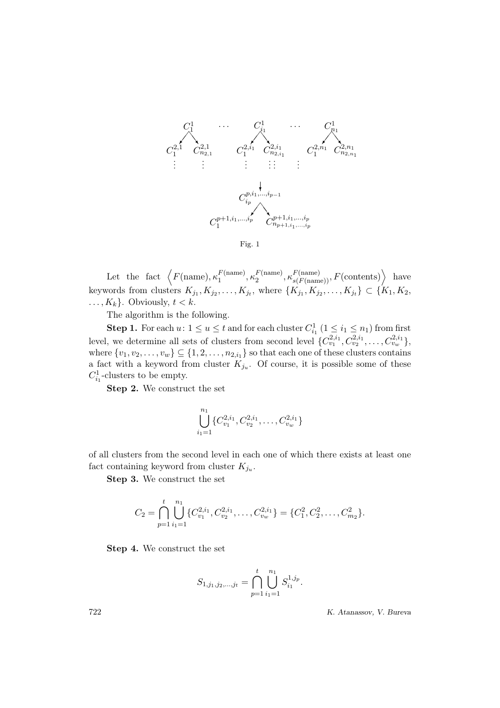

Fig. 1

Let the fact  $\left\langle F(\text{name}), \kappa_1^{F(\text{name}) \right\rangle$  $_1^F$ (name)<br>  $_1^F$ (name)  $\binom{F(\text{name})}{2}, \kappa^{F(\text{name})}_{s(F(\text{name}))}, F(\text{contents})$  have keywords from clusters  $K_{j_1}, K_{j_2}, \ldots, K_{j_t}$ , where  $\{K_{j_1}, K_{j_2}, \ldots, K_{j_t}\} \subset \{K_1, K_2,$  $\ldots, K_k$ . Obviously,  $t < k$ .

The algorithm is the following.

**Step 1.** For each  $u: 1 \le u \le t$  and for each cluster  $C_{i_1}^1$   $(1 \le i_1 \le n_1)$  from first level, we determine all sets of clusters from second level  $\{C_{v_1}^{2,i_1}, C_{v_2}^{2,i_1}, \ldots, C_{v_w}^{2,i_1}\},\$ where  $\{v_1, v_2, \ldots, v_w\} \subseteq \{1, 2, \ldots, n_{2,i_1}\}$  so that each one of these clusters contains a fact with a keyword from cluster  $K_{j_u}$ . Of course, it is possible some of these  $C_{i_1}^1$ -clusters to be empty.

Step 2. We construct the set

$$
\bigcup_{i_1=1}^{n_1} \{C_{v_1}^{2,i_1}, C_{v_2}^{2,i_1}, \dots, C_{v_w}^{2,i_1}\}
$$

of all clusters from the second level in each one of which there exists at least one fact containing keyword from cluster  $K_{j_u}$ .

Step 3. We construct the set

$$
C_2 = \bigcap_{p=1}^t \bigcup_{i_1=1}^{n_1} \{C_{v_1}^{2,i_1}, C_{v_2}^{2,i_1}, \dots, C_{v_w}^{2,i_1}\} = \{C_1^2, C_2^2, \dots, C_{m_2}^2\}.
$$

Step 4. We construct the set

$$
S_{1,j_1,j_2,\dots,j_t} = \bigcap_{p=1}^t \bigcup_{i_1=1}^{n_1} S_{i_1}^{1,j_p}.
$$

722 K. Atanassov, V. Bureva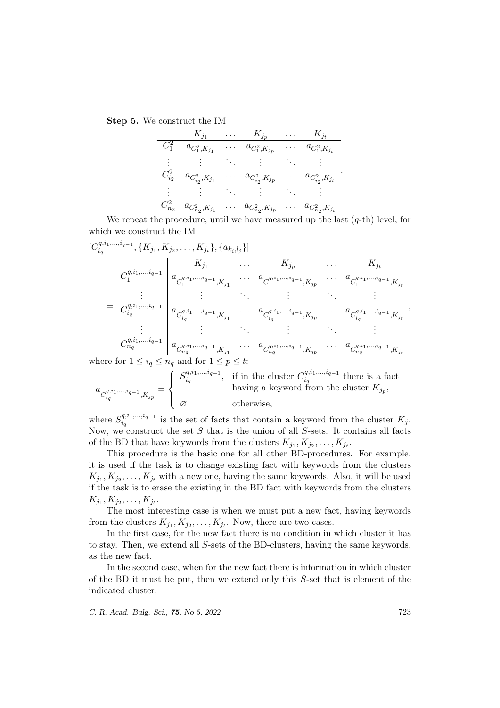Step 5. We construct the IM

|               | $K_{\underline{j_1}}$         | $K_{\underline{j_p}}$ | $\cdots$ | $K_{j_t}$             |
|---------------|-------------------------------|-----------------------|----------|-----------------------|
| $C_1^2$       | $a_{C_1^2,K_{j_1}}$           | $a_{C_1^2,K_{jp}}$    |          | $a_{C_1^2,K_{j_t}}$   |
| $\frac{1}{2}$ |                               |                       |          |                       |
| $C_{i_2}^2$   | $a_{C_{i_2}^2, K_{j_1}}$      | $a_{C_{i_2},K_{j_p}}$ |          | $a_{C_{i_2},K_{j_t}}$ |
| $\frac{1}{2}$ |                               |                       |          |                       |
| $C_{n_2}^2$   | $\bar{a}_{C_{n_2}^2,K_{j_1}}$ | $a_{C_{n_2},K_{j_p}}$ |          | $a_{C_{n_2},K_{j_t}}$ |

We repeat the procedure, until we have measured up the last  $(q$ -th) level, for which we construct the IM

$$
[C_{i_q}^{q,i_1,\ldots,i_{q-1}},\{K_{j_1}, K_{j_2},\ldots, K_{j_t}\},\{a_{k_i,l_j}\}]
$$
\n
$$
\frac{K_{j_1}}{C_1^{q,i_1,\ldots,i_{q-1}}}\left|\begin{array}{ccc}K_{j_1} & \ldots & K_{j_p} & \ldots & K_{j_t} \\ a_{C_1^{q,i_1,\ldots,i_{q-1}},K_{j_1}} & \ldots & a_{C_1^{q,i_1,\ldots,i_{q-1}},K_{j_p}} & \ldots & a_{C_1^{q,i_1,\ldots,i_{q-1}},K_{j_t}} \\ \vdots & \vdots & \ddots & \vdots \\ a_{C_{i_q}^{q,i_1,\ldots,i_{q-1}}} & a_{C_{i_q}^{q,i_1,\ldots,i_{q-1}},K_{j_1}} & \ldots & a_{C_{i_q}^{q,i_1,\ldots,i_{q-1}},K_{j_p}} & \ldots & a_{C_{i_q}^{q,i_1,\ldots,i_{q-1}},K_{j_t}} \\ \vdots & \vdots & \ddots & \vdots \\ a_{C_{n_q}^{q,i_1,\ldots,i_{q-1}}} & a_{C_{n_q}^{q,i_1,\ldots,i_{q-1}},K_{j_1}} & \ldots & a_{C_{n_q}^{q,i_1,\ldots,i_{q-1}},K_{j_p}} & \ldots & a_{C_{n_q}^{q,i_1,\ldots,i_{q-1}},K_{j_t}} \\ \text{where for } 1 \leq i_q \leq n_q \text{ and for } 1 \leq p \leq t: \end{array}\right|;
$$

$$
a_{C_{i_q}^{q,i_1,\ldots,i_{q-1}},K_{j_p}} = \left\{ \begin{array}{ll} S_{i_q}^{q,i_1,\ldots,i_{q-1}}, & \text{if in the cluster } C_{i_q}^{q,i_1,\ldots,i_{q-1}} \text{ there is a fact} \\ & \text{having a keyword from the cluster } K_{j_p}, \\ & \oslash & \text{otherwise,} \end{array} \right.
$$

where  $S_i^{q,i_1,...,i_{q-1}}$  $\frac{q_{i}}{i_q}$  is the set of facts that contain a keyword from the cluster  $K_j$ . Now, we construct the set  $S$  that is the union of all  $S$ -sets. It contains all facts of the BD that have keywords from the clusters  $K_{j_1}, K_{j_2}, \ldots, K_{j_t}$ .

This procedure is the basic one for all other BD-procedures. For example, it is used if the task is to change existing fact with keywords from the clusters  $K_{j_1}, K_{j_2}, \ldots, K_{j_t}$  with a new one, having the same keywords. Also, it will be used if the task is to erase the existing in the BD fact with keywords from the clusters  $K_{j_1}, K_{j_2}, \ldots, K_{j_t}.$ 

The most interesting case is when we must put a new fact, having keywords from the clusters  $K_{j_1}, K_{j_2}, \ldots, K_{j_t}$ . Now, there are two cases.

In the first case, for the new fact there is no condition in which cluster it has to stay. Then, we extend all S-sets of the BD-clusters, having the same keywords, as the new fact.

In the second case, when for the new fact there is information in which cluster of the BD it must be put, then we extend only this S-set that is element of the indicated cluster.

C. R. Acad. Bulg. Sci., **75**, No 5, 2022 723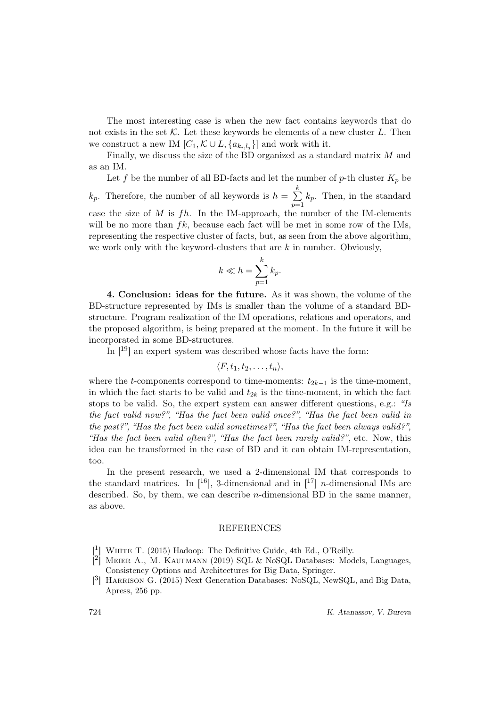The most interesting case is when the new fact contains keywords that do not exists in the set  $K$ . Let these keywords be elements of a new cluster  $L$ . Then we construct a new IM  $[C_1, \mathcal{K} \cup L, \{a_{k_i,l_j}\}]$  and work with it.

Finally, we discuss the size of the BD organized as a standard matrix M and as an IM.

Let f be the number of all BD-facts and let the number of p-th cluster  $K_p$  be  $k_p$ . Therefore, the number of all keywords is  $h = \sum_{n=1}^k k_n$  $p=1$  $k_p$ . Then, in the standard case the size of  $M$  is  $fh$ . In the IM-approach, the number of the IM-elements will be no more than  $fk$ , because each fact will be met in some row of the IMs, representing the respective cluster of facts, but, as seen from the above algorithm, we work only with the keyword-clusters that are  $k$  in number. Obviously,

$$
k \ll h = \sum_{p=1}^{k} k_p.
$$

4. Conclusion: ideas for the future. As it was shown, the volume of the BD-structure represented by IMs is smaller than the volume of a standard BDstructure. Program realization of the IM operations, relations and operators, and the proposed algorithm, is being prepared at the moment. In the future it will be incorporated in some BD-structures.

In [19] an expert system was described whose facts have the form:

$$
\langle F, t_1, t_2, \ldots, t_n \rangle,
$$

where the t-components correspond to time-moments:  $t_{2k-1}$  is the time-moment, in which the fact starts to be valid and  $t_{2k}$  is the time-moment, in which the fact stops to be valid. So, the expert system can answer different questions, e.g.: "Is the fact valid now?", "Has the fact been valid once?", "Has the fact been valid in the past?", "Has the fact been valid sometimes?", "Has the fact been always valid?", "Has the fact been valid often?", "Has the fact been rarely valid?", etc. Now, this idea can be transformed in the case of BD and it can obtain IM-representation, too.

In the present research, we used a 2-dimensional IM that corresponds to the standard matrices. In  $[16]$ , 3-dimensional and in  $[17]$  *n*-dimensional IMs are described. So, by them, we can describe  $n$ -dimensional BD in the same manner, as above.

## REFERENCES

- [<sup>1</sup>] WHITE T. (2015) Hadoop: The Definitive Guide, 4th Ed., O'Reilly.
- <sup>[2</sup>] MEIER A., M. KAUFMANN (2019) SQL & NoSQL Databases: Models, Languages, Consistency Options and Architectures for Big Data, Springer.
- [<sup>3</sup>] HARRISON G. (2015) Next Generation Databases: NoSQL, NewSQL, and Big Data, Apress, 256 pp.